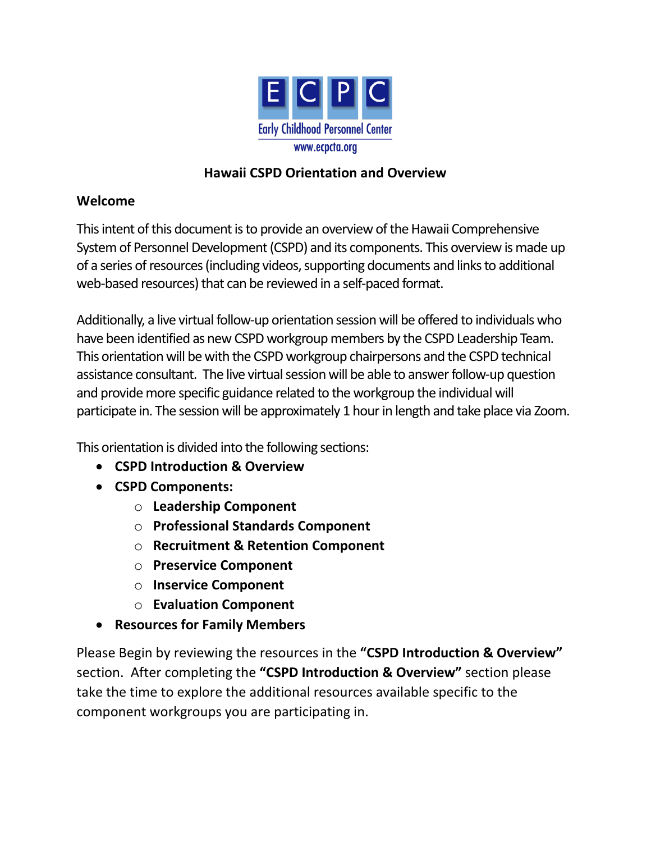

#### **Hawaii CSPD Orientation and Overview**

#### **Welcome**

This intent of this document is to provide an overview of the Hawaii Comprehensive System of Personnel Development (CSPD) and its components. This overview is made up of a series of resources (including videos, supporting documents and links to additional web-based resources) that can be reviewed in a self-paced format.

Additionally, a live virtual follow-up orientation session will be offered to individuals who have been identified as new CSPD workgroup members by the CSPD Leadership Team. This orientation will be with the CSPD workgroup chairpersons and the CSPD technical assistance consultant. The live virtual session will be able to answer follow-up question and provide more specific guidance related to the workgroup the individual will participate in. The session will be approximately 1 hour in length and take place via Zoom.

This orientation is divided into the following sections:

- **CSPD Introduction & Overview**
- **CSPD Components:**
	- o **Leadership Component**
	- o **Professional Standards Component**
	- o **Recruitment & Retention Component**
	- o **Preservice Component**
	- o **Inservice Component**
	- o **Evaluation Component**
- **Resources for Family Members**

Please Begin by reviewing the resources in the **"CSPD Introduction & Overview"** section. After completing the **"CSPD Introduction & Overview"** section please take the time to explore the additional resources available specific to the component workgroups you are participating in.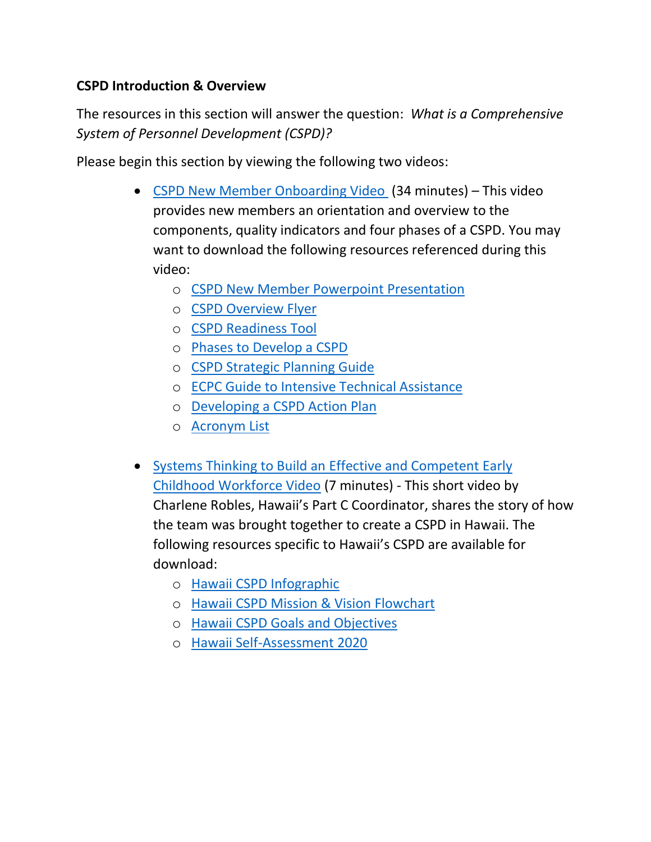#### **CSPD Introduction & Overview**

The resources in this section will answer the question: *What is a Comprehensive System of Personnel Development (CSPD)?*

Please begin this section by viewing the following two videos:

- [CSPD New Member Onboarding Video](https://drive.google.com/file/d/14iivEPh_F-VxEscpQyDOqfJjSZAKmKO7/view?usp=sharing) (34 minutes) This video provides new members an orientation and overview to the components, quality indicators and four phases of a CSPD. You may want to download the following resources referenced during this video:
	- o [CSPD New Member Powerpoint Presentation](https://drive.google.com/file/d/1hp0jIF_W32WK4dsxoiKDC-RDm8QO2Y2F/view?usp=sharing)
	- o [CSPD Overview](https://drive.google.com/file/d/1K_Z74RRuSz5dYnJ8SyXDpdpAQ6dZqMYC/view?usp=sharing) Flyer
	- o [CSPD Readiness Tool](https://drive.google.com/file/d/1yjEDU1dduq1qMhV5ccQOa_vzuCFdx6uS/view?usp=sharing)
	- o [Phases to Develop a CSPD](https://drive.google.com/file/d/1rQMzAFOI8vc_iqFefSGg7C01K1DM8Z2c/view?usp=sharing)
	- o [CSPD Strategic Planning Guide](https://drive.google.com/file/d/1A5SVaFssbFV9Mn0z1hnbR-m7FhAcvFRj/view?usp=sharing)
	- o [ECPC Guide to Intensive Technical Assistance](https://drive.google.com/file/d/1-KFLD7bug__Z4EElZBYC_70orn8amdEf/view?usp=sharing)
	- o Developing a [CSPD Action Plan](https://drive.google.com/file/d/1OJ-V6ah5bKfyGQVZD7LVOlVC4g4g5a5N/view?usp=sharing)
	- o [Acronym List](https://drive.google.com/file/d/1RsMmPOYco3uHz-gVyepB1yFE4vdXY_bN/view?usp=sharing)
- [Systems Thinking to Build an Effective and Competent](https://drive.google.com/file/d/1QoJgFcpFAnl6tZ9XAarcRUfDLEXv6Pjb/view?usp=sharing) Early [Childhood Workforce Video](https://drive.google.com/file/d/1QoJgFcpFAnl6tZ9XAarcRUfDLEXv6Pjb/view?usp=sharing) (7 minutes) - This short video by Charlene Robles, Hawaii's Part C Coordinator, shares the story of how the team was brought together to create a CSPD in Hawaii. The following resources specific to Hawaii's CSPD are available for download:
	- o [Hawaii CSPD Infographic](https://drive.google.com/file/d/1YkUhrZ0FGSzbbgFj9YCm368fzVph8eT3/view?usp=sharing)
	- o [Hawaii CSPD Mission & Vision Flowchart](https://drive.google.com/file/d/1hMAc339QO0UD8Sc7c2-yKeaspz8duNEU/view?usp=sharing)
	- o [Hawaii CSPD Goals and Objectives](https://drive.google.com/file/d/1D22JvdtTbyTUddXwXDOjfDxL-oCu6tZw/view?usp=sharing)
	- o [Hawaii Self-Assessment 2020](https://drive.google.com/file/d/1DxalTp-iPUXeKDXLmSzAYtmjdJ10a8Lw/view?usp=sharing)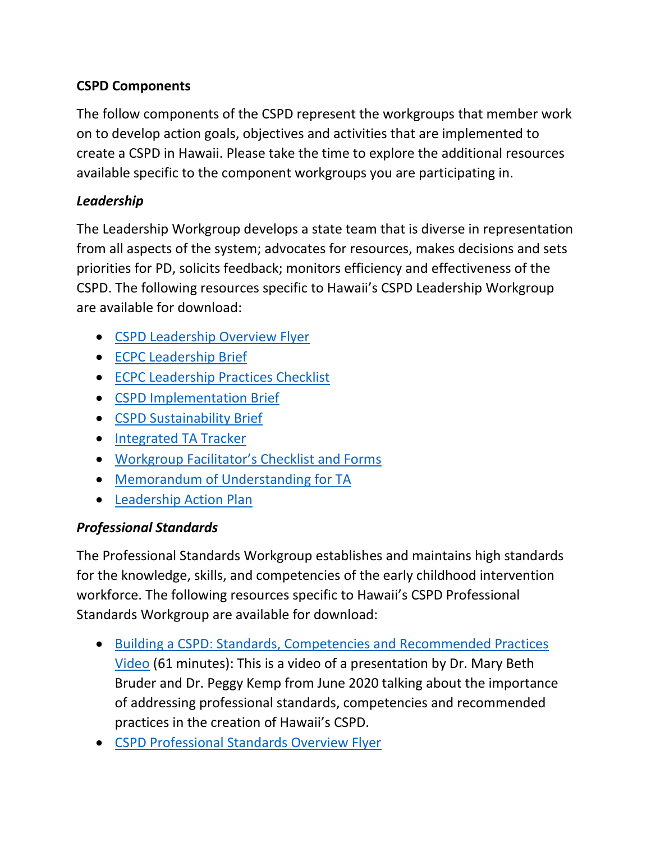# **CSPD Components**

The follow components of the CSPD represent the workgroups that member work on to develop action goals, objectives and activities that are implemented to create a CSPD in Hawaii. Please take the time to explore the additional resources available specific to the component workgroups you are participating in.

## *Leadership*

The Leadership Workgroup develops a state team that is diverse in representation from all aspects of the system; advocates for resources, makes decisions and sets priorities for PD, solicits feedback; monitors efficiency and effectiveness of the CSPD. The following resources specific to Hawaii's CSPD Leadership Workgroup are available for download:

- [CSPD Leadership Overview Flyer](https://drive.google.com/file/d/1ESOa3p7V9LzeHfY3QnXMyw5QnTBO-0z5/view?usp=sharing)
- ECPC [Leadership Brief](https://drive.google.com/file/d/1kab1YDD56DjdFD_YXroKoZMgNk4S3-Fi/view?usp=sharing)
- [ECPC Leadership Practices Checklist](https://drive.google.com/file/d/1Ru-NAM5S1avzwuAhr6K_7hKe2XcLCd6e/view?usp=sharing)
- CSPD [Implementation Brief](https://drive.google.com/file/d/1SOW8pxXmeieiba0bZD4b52PkjzEBdnko/view?usp=sharing)
- [CSPD Sustainability Brief](https://drive.google.com/file/d/1OVpkiLgkO4Bu6aUz-8xH1GFoP1Td65TX/view?usp=sharing)
- [Integrated TA Tracker](https://drive.google.com/file/d/1e-qapECR5femFT0g8NJ0qka90P3-93ad/view?usp=sharing)
- Workgroup Facilitator['s Checklist and Forms](https://drive.google.com/file/d/1_PL1yXC3_g91vZX3m6rotpcHTX6ecJoi/view?usp=sharing)
- [Memorandum of Understanding for TA](https://drive.google.com/file/d/1VYqqqjJNUOqXyT5CfExCZPG6OIgD7RgI/view?usp=sharing)
- [Leadership Action Plan](https://drive.google.com/file/d/1RDHERdXue8yCOjl3iMbwe5Z1VYRxZCIY/view?usp=sharing)

# *Professional Standards*

The Professional Standards Workgroup establishes and maintains high standards for the knowledge, skills, and competencies of the early childhood intervention workforce. The following resources specific to Hawaii's CSPD Professional Standards Workgroup are available for download:

- [Building a CSPD: Standards, Competencies and Recommended Practices](https://drive.google.com/file/d/1itYMVQfp4Qk1Vl6qztv_IoILNv48sDne/view?usp=sharing)  [Video](https://drive.google.com/file/d/1itYMVQfp4Qk1Vl6qztv_IoILNv48sDne/view?usp=sharing) (61 minutes): This is a video of a presentation by Dr. Mary Beth Bruder and Dr. Peggy Kemp from June 2020 talking about the importance of addressing professional standards, competencies and recommended practices in the creation of Hawaii's CSPD.
- [CSPD Professional Standards Overview Flyer](https://drive.google.com/file/d/1bgodWxTUwhGMsOMQtUsUP5VrgjgjzKgm/view?usp=sharing)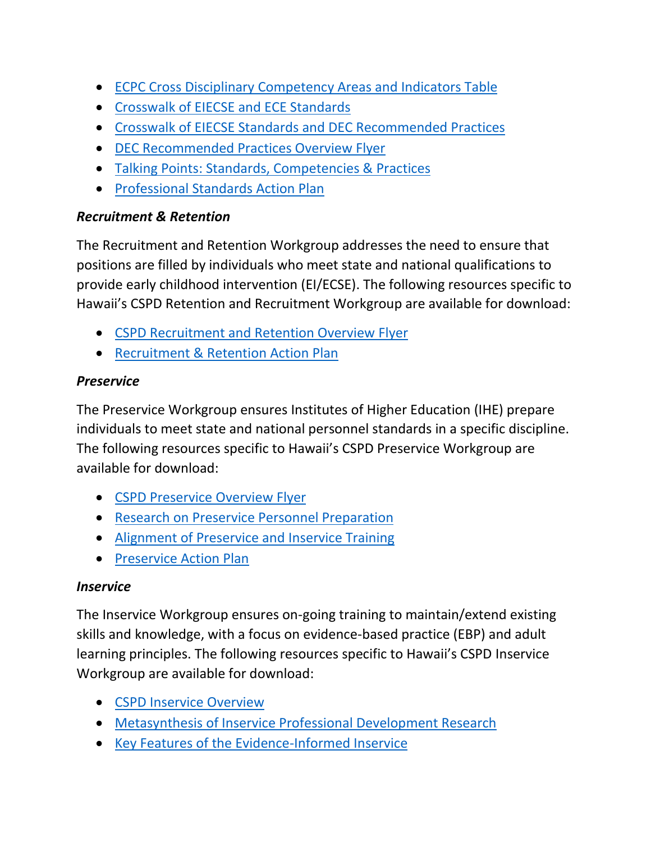- [ECPC Cross Disciplinary Competency Areas and Indicators Table](https://drive.google.com/file/d/1Sr1gs6WCNpGLjFiV8UFvXPnubPrMYZyQ/view?usp=sharing)
- [Crosswalk of EIECSE and ECE Standards](https://drive.google.com/file/d/1aoL7h_KOxes2OHs30-F3Q0RG2jUioAVH/view?usp=sharing)
- [Crosswalk of EIECSE Standards and DEC Recommended Practices](https://drive.google.com/file/d/1BV1i_YtEhiUgdX7uWj8mkX34IoQKhNh7/view?usp=sharing)
- [DEC Recommended Practices Overview Flyer](https://drive.google.com/file/d/1JqrNLl06gwotKo5NuuoKbFMm7ZsLzVoL/view?usp=sharing)
- [Talking Points: Standards, Competencies & Practices](https://drive.google.com/file/d/1zNnG-cO4oLORqChkcUvkVtoQ7fx5Gp-Q/view?usp=sharing)
- [Professional Standards Action Plan](https://drive.google.com/file/d/1s-qE7waGR5vI1AgtLS2DePCmC7BBpDre/view?usp=sharing)

#### *Recruitment & Retention*

The Recruitment and Retention Workgroup addresses the need to ensure that positions are filled by individuals who meet state and national qualifications to provide early childhood intervention (EI/ECSE). The following resources specific to Hawaii's CSPD Retention and Recruitment Workgroup are available for download:

- [CSPD Recruitment and Retention Overview](https://drive.google.com/file/d/1JMjoOWVOARdlrO5HqHrCy4TpTmhVN12i/view?usp=sharing) Flyer
- [Recruitment & Retention Action Plan](https://drive.google.com/file/d/1yt9BwR6eCu2hkcVMJCH9A_0qobWklEOF/view?usp=sharing)

## *Preservice*

The Preservice Workgroup ensures Institutes of Higher Education (IHE) prepare individuals to meet state and national personnel standards in a specific discipline. The following resources specific to Hawaii's CSPD Preservice Workgroup are available for download:

- [CSPD Preservice Overview](https://drive.google.com/file/d/17JcIlIyUHJoKJChXAHfljhWNQwbWEohq/view?usp=sharing) Flyer
- [Research on Preservice Personnel Preparation](https://drive.google.com/file/d/1wmqPVEEjLvIfOQV7PyRtJgtmtnwxb605/view?usp=sharing)
- [Alignment of Preservice and Inservice Training](https://drive.google.com/file/d/1kub1iHy8b7Md2iECtzqXEJcx98Rm6wUg/view?usp=sharing)
- [Preservice Action Plan](https://drive.google.com/file/d/1PQYXVfwa6ZxsQwLWTNTQn1aduUvVCIa7/view?usp=sharing)

## *Inservice*

The Inservice Workgroup ensures on-going training to maintain/extend existing skills and knowledge, with a focus on evidence-based practice (EBP) and adult learning principles. The following resources specific to Hawaii's CSPD Inservice Workgroup are available for download:

- [CSPD Inservice Overview](https://drive.google.com/file/d/1JcSF3_k7Yu74H09H1ZBYA8Iz88XjLk4g/view?usp=sharing)
- [Metasynthesis of Inservice Professional Development Research](https://drive.google.com/file/d/12KLo8tktaX7gp8Jko2YhZ-6NyMGGTDYL/view?usp=sharing)
- [Key Features of the Evidence-Informed Inservice](https://drive.google.com/file/d/1rbL_XMgfJx_jyBevm8yxAQXS0YwxcOXF/view?usp=sharing)